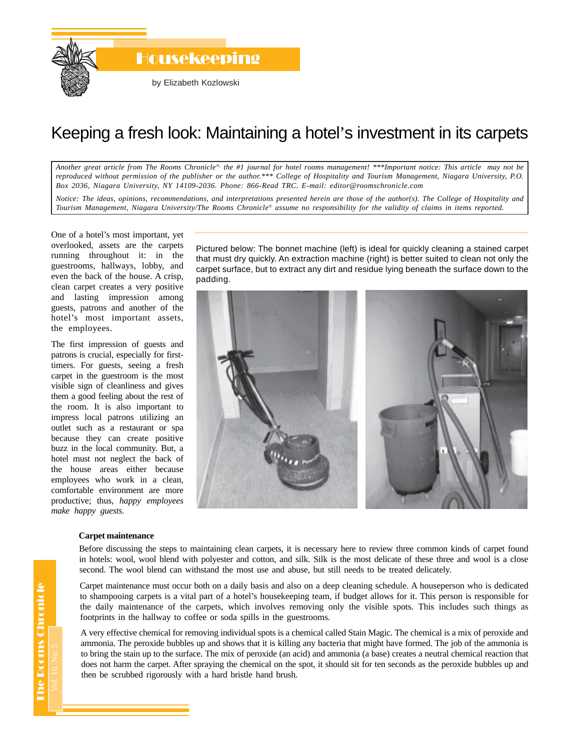

## Keeping a fresh look: Maintaining a hotel's investment in its carpets

*Another great article from The Rooms Chronicle*®*, the #1 journal for hotel rooms management! \*\*\*Important notice: This article may not be reproduced without permission of the publisher or the author.\*\*\* College of Hospitality and Tourism Management, Niagara University, P.O. Box 2036, Niagara University, NY 14109-2036. Phone: 866-Read TRC. E-mail: editor@roomschronicle.com*

*Notice: The ideas, opinions, recommendations, and interpretations presented herein are those of the author(s). The College of Hospitality and Tourism Management, Niagara University/The Rooms Chronicle*® *assume no responsibility for the validity of claims in items reported.*

One of a hotel's most important, yet overlooked, assets are the carpets running throughout it: in the guestrooms, hallways, lobby, and even the back of the house. A crisp, clean carpet creates a very positive and lasting impression among guests, patrons and another of the hotel's most important assets, the employees.

The first impression of guests and patrons is crucial, especially for firsttimers. For guests, seeing a fresh carpet in the guestroom is the most visible sign of cleanliness and gives them a good feeling about the rest of the room. It is also important to impress local patrons utilizing an outlet such as a restaurant or spa because they can create positive buzz in the local community. But, a hotel must not neglect the back of the house areas either because employees who work in a clean, comfortable environment are more productive; thus, *happy employees make happy guests*.

Pictured below: The bonnet machine (left) is ideal for quickly cleaning a stained carpet that must dry quickly. An extraction machine (right) is better suited to clean not only the carpet surface, but to extract any dirt and residue lying beneath the surface down to the padding.



## **Carpet maintenance**

Before discussing the steps to maintaining clean carpets, it is necessary here to review three common kinds of carpet found in hotels: wool, wool blend with polyester and cotton, and silk. Silk is the most delicate of these three and wool is a close second. The wool blend can withstand the most use and abuse, but still needs to be treated delicately.

Carpet maintenance must occur both on a daily basis and also on a deep cleaning schedule. A houseperson who is dedicated to shampooing carpets is a vital part of a hotel's housekeeping team, if budget allows for it. This person is responsible for the daily maintenance of the carpets, which involves removing only the visible spots. This includes such things as footprints in the hallway to coffee or soda spills in the guestrooms.

A very effective chemical for removing individual spots is a chemical called Stain Magic. The chemical is a mix of peroxide and ammonia. The peroxide bubbles up and shows that it is killing any bacteria that might have formed. The job of the ammonia is to bring the stain up to the surface. The mix of peroxide (an acid) and ammonia (a base) creates a neutral chemical reaction that does not harm the carpet. After spraying the chemical on the spot, it should sit for ten seconds as the peroxide bubbles up and then be scrubbed rigorously with a hard bristle hand brush.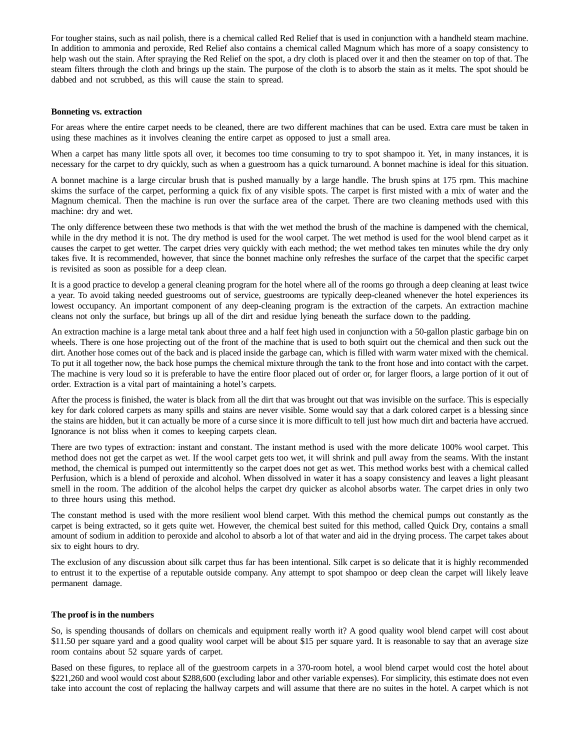For tougher stains, such as nail polish, there is a chemical called Red Relief that is used in conjunction with a handheld steam machine. In addition to ammonia and peroxide, Red Relief also contains a chemical called Magnum which has more of a soapy consistency to help wash out the stain. After spraying the Red Relief on the spot, a dry cloth is placed over it and then the steamer on top of that. The steam filters through the cloth and brings up the stain. The purpose of the cloth is to absorb the stain as it melts. The spot should be dabbed and not scrubbed, as this will cause the stain to spread.

## **Bonneting vs. extraction**

For areas where the entire carpet needs to be cleaned, there are two different machines that can be used. Extra care must be taken in using these machines as it involves cleaning the entire carpet as opposed to just a small area.

When a carpet has many little spots all over, it becomes too time consuming to try to spot shampoo it. Yet, in many instances, it is necessary for the carpet to dry quickly, such as when a guestroom has a quick turnaround. A bonnet machine is ideal for this situation.

A bonnet machine is a large circular brush that is pushed manually by a large handle. The brush spins at 175 rpm. This machine skims the surface of the carpet, performing a quick fix of any visible spots. The carpet is first misted with a mix of water and the Magnum chemical. Then the machine is run over the surface area of the carpet. There are two cleaning methods used with this machine: dry and wet.

The only difference between these two methods is that with the wet method the brush of the machine is dampened with the chemical, while in the dry method it is not. The dry method is used for the wool carpet. The wet method is used for the wool blend carpet as it causes the carpet to get wetter. The carpet dries very quickly with each method; the wet method takes ten minutes while the dry only takes five. It is recommended, however, that since the bonnet machine only refreshes the surface of the carpet that the specific carpet is revisited as soon as possible for a deep clean.

It is a good practice to develop a general cleaning program for the hotel where all of the rooms go through a deep cleaning at least twice a year. To avoid taking needed guestrooms out of service, guestrooms are typically deep-cleaned whenever the hotel experiences its lowest occupancy. An important component of any deep-cleaning program is the extraction of the carpets. An extraction machine cleans not only the surface, but brings up all of the dirt and residue lying beneath the surface down to the padding.

An extraction machine is a large metal tank about three and a half feet high used in conjunction with a 50-gallon plastic garbage bin on wheels. There is one hose projecting out of the front of the machine that is used to both squirt out the chemical and then suck out the dirt. Another hose comes out of the back and is placed inside the garbage can, which is filled with warm water mixed with the chemical. To put it all together now, the back hose pumps the chemical mixture through the tank to the front hose and into contact with the carpet. The machine is very loud so it is preferable to have the entire floor placed out of order or, for larger floors, a large portion of it out of order. Extraction is a vital part of maintaining a hotel's carpets.

After the process is finished, the water is black from all the dirt that was brought out that was invisible on the surface. This is especially key for dark colored carpets as many spills and stains are never visible. Some would say that a dark colored carpet is a blessing since the stains are hidden, but it can actually be more of a curse since it is more difficult to tell just how much dirt and bacteria have accrued. Ignorance is not bliss when it comes to keeping carpets clean.

There are two types of extraction: instant and constant. The instant method is used with the more delicate 100% wool carpet. This method does not get the carpet as wet. If the wool carpet gets too wet, it will shrink and pull away from the seams. With the instant method, the chemical is pumped out intermittently so the carpet does not get as wet. This method works best with a chemical called Perfusion, which is a blend of peroxide and alcohol. When dissolved in water it has a soapy consistency and leaves a light pleasant smell in the room. The addition of the alcohol helps the carpet dry quicker as alcohol absorbs water. The carpet dries in only two to three hours using this method.

The constant method is used with the more resilient wool blend carpet. With this method the chemical pumps out constantly as the carpet is being extracted, so it gets quite wet. However, the chemical best suited for this method, called Quick Dry, contains a small amount of sodium in addition to peroxide and alcohol to absorb a lot of that water and aid in the drying process. The carpet takes about six to eight hours to dry.

The exclusion of any discussion about silk carpet thus far has been intentional. Silk carpet is so delicate that it is highly recommended to entrust it to the expertise of a reputable outside company. Any attempt to spot shampoo or deep clean the carpet will likely leave permanent damage.

## **The proof is in the numbers**

So, is spending thousands of dollars on chemicals and equipment really worth it? A good quality wool blend carpet will cost about \$11.50 per square yard and a good quality wool carpet will be about \$15 per square yard. It is reasonable to say that an average size room contains about 52 square yards of carpet.

Based on these figures, to replace all of the guestroom carpets in a 370-room hotel, a wool blend carpet would cost the hotel about \$221,260 and wool would cost about \$288,600 (excluding labor and other variable expenses). For simplicity, this estimate does not even take into account the cost of replacing the hallway carpets and will assume that there are no suites in the hotel. A carpet which is not